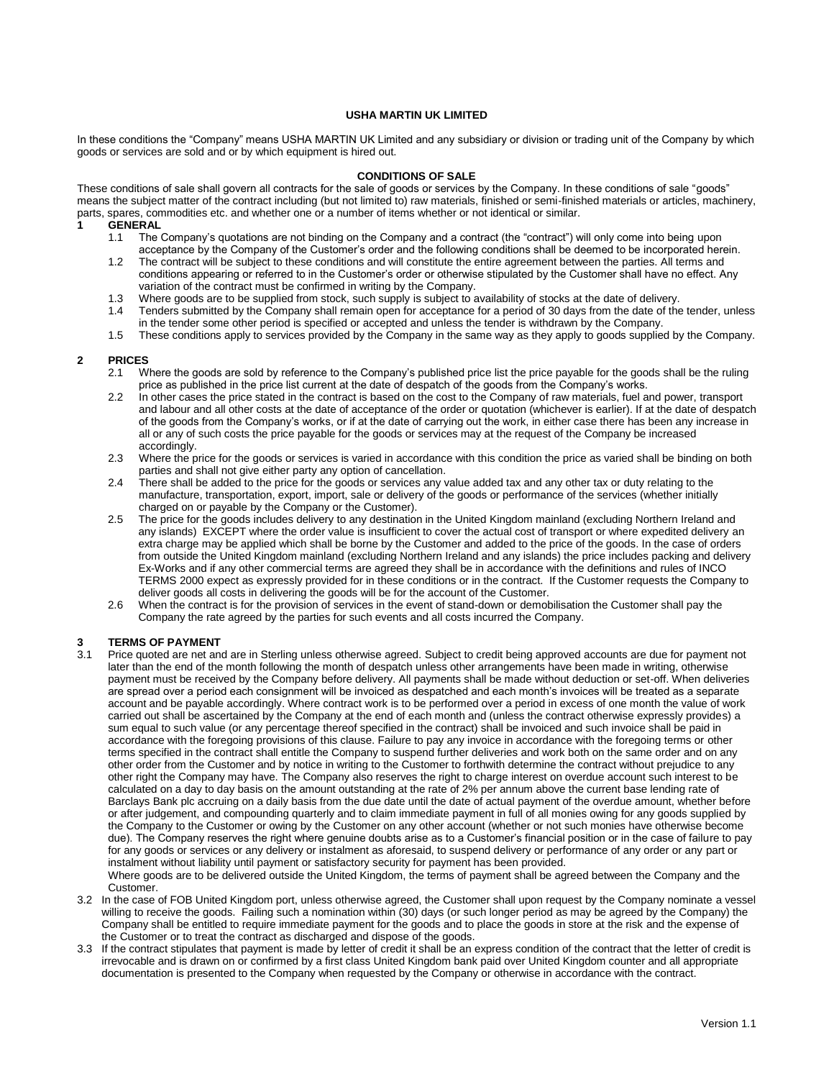#### **USHA MARTIN UK LIMITED**

In these conditions the "Company" means USHA MARTIN UK Limited and any subsidiary or division or trading unit of the Company by which goods or services are sold and or by which equipment is hired out.

# **CONDITIONS OF SALE**

These conditions of sale shall govern all contracts for the sale of goods or services by the Company. In these conditions of sale "goods" means the subject matter of the contract including (but not limited to) raw materials, finished or semi-finished materials or articles, machinery, parts, spares, commodities etc. and whether one or a number of items whether or not identical or similar.

- **GENERAL**<br>1.1 The The Company's quotations are not binding on the Company and a contract (the "contract") will only come into being upon acceptance by the Company of the Customer's order and the following conditions shall be deemed to be incorporated herein.
- 1.2 The contract will be subject to these conditions and will constitute the entire agreement between the parties. All terms and conditions appearing or referred to in the Customer's order or otherwise stipulated by the Customer shall have no effect. Any variation of the contract must be confirmed in writing by the Company.
- 1.3 Where goods are to be supplied from stock, such supply is subject to availability of stocks at the date of delivery.
- 1.4 Tenders submitted by the Company shall remain open for acceptance for a period of 30 days from the date of the tender, unless in the tender some other period is specified or accepted and unless the tender is withdrawn by the Company.
- 1.5 These conditions apply to services provided by the Company in the same way as they apply to goods supplied by the Company.

# **2 PRICES**

- 2.1 Where the goods are sold by reference to the Company's published price list the price payable for the goods shall be the ruling price as published in the price list current at the date of despatch of the goods from the Company's works.
- 2.2 In other cases the price stated in the contract is based on the cost to the Company of raw materials, fuel and power, transport and labour and all other costs at the date of acceptance of the order or quotation (whichever is earlier). If at the date of despatch of the goods from the Company's works, or if at the date of carrying out the work, in either case there has been any increase in all or any of such costs the price payable for the goods or services may at the request of the Company be increased accordingly.
- 2.3 Where the price for the goods or services is varied in accordance with this condition the price as varied shall be binding on both parties and shall not give either party any option of cancellation.
- 2.4 There shall be added to the price for the goods or services any value added tax and any other tax or duty relating to the manufacture, transportation, export, import, sale or delivery of the goods or performance of the services (whether initially charged on or payable by the Company or the Customer).
- 2.5 The price for the goods includes delivery to any destination in the United Kingdom mainland (excluding Northern Ireland and any islands) EXCEPT where the order value is insufficient to cover the actual cost of transport or where expedited delivery an extra charge may be applied which shall be borne by the Customer and added to the price of the goods. In the case of orders from outside the United Kingdom mainland (excluding Northern Ireland and any islands) the price includes packing and delivery Ex-Works and if any other commercial terms are agreed they shall be in accordance with the definitions and rules of INCO TERMS 2000 expect as expressly provided for in these conditions or in the contract. If the Customer requests the Company to deliver goods all costs in delivering the goods will be for the account of the Customer.
- 2.6 When the contract is for the provision of services in the event of stand-down or demobilisation the Customer shall pay the Company the rate agreed by the parties for such events and all costs incurred the Company.

# **3.1 <b>Price quoted are net an**<br>3.1 **Price quoted are net an**

Price quoted are net and are in Sterling unless otherwise agreed. Subject to credit being approved accounts are due for payment not later than the end of the month following the month of despatch unless other arrangements have been made in writing, otherwise payment must be received by the Company before delivery. All payments shall be made without deduction or set-off. When deliveries are spread over a period each consignment will be invoiced as despatched and each month's invoices will be treated as a separate account and be payable accordingly. Where contract work is to be performed over a period in excess of one month the value of work carried out shall be ascertained by the Company at the end of each month and (unless the contract otherwise expressly provides) a sum equal to such value (or any percentage thereof specified in the contract) shall be invoiced and such invoice shall be paid in accordance with the foregoing provisions of this clause. Failure to pay any invoice in accordance with the foregoing terms or other terms specified in the contract shall entitle the Company to suspend further deliveries and work both on the same order and on any other order from the Customer and by notice in writing to the Customer to forthwith determine the contract without prejudice to any other right the Company may have. The Company also reserves the right to charge interest on overdue account such interest to be calculated on a day to day basis on the amount outstanding at the rate of 2% per annum above the current base lending rate of Barclays Bank plc accruing on a daily basis from the due date until the date of actual payment of the overdue amount, whether before or after judgement, and compounding quarterly and to claim immediate payment in full of all monies owing for any goods supplied by the Company to the Customer or owing by the Customer on any other account (whether or not such monies have otherwise become due). The Company reserves the right where genuine doubts arise as to a Customer's financial position or in the case of failure to pay for any goods or services or any delivery or instalment as aforesaid, to suspend delivery or performance of any order or any part or instalment without liability until payment or satisfactory security for payment has been provided.

Where goods are to be delivered outside the United Kingdom, the terms of payment shall be agreed between the Company and the Customer.

- 3.2 In the case of FOB United Kingdom port, unless otherwise agreed, the Customer shall upon request by the Company nominate a vessel willing to receive the goods. Failing such a nomination within (30) days (or such longer period as may be agreed by the Company) the Company shall be entitled to require immediate payment for the goods and to place the goods in store at the risk and the expense of the Customer or to treat the contract as discharged and dispose of the goods.
- 3.3 If the contract stipulates that payment is made by letter of credit it shall be an express condition of the contract that the letter of credit is irrevocable and is drawn on or confirmed by a first class United Kingdom bank paid over United Kingdom counter and all appropriate documentation is presented to the Company when requested by the Company or otherwise in accordance with the contract.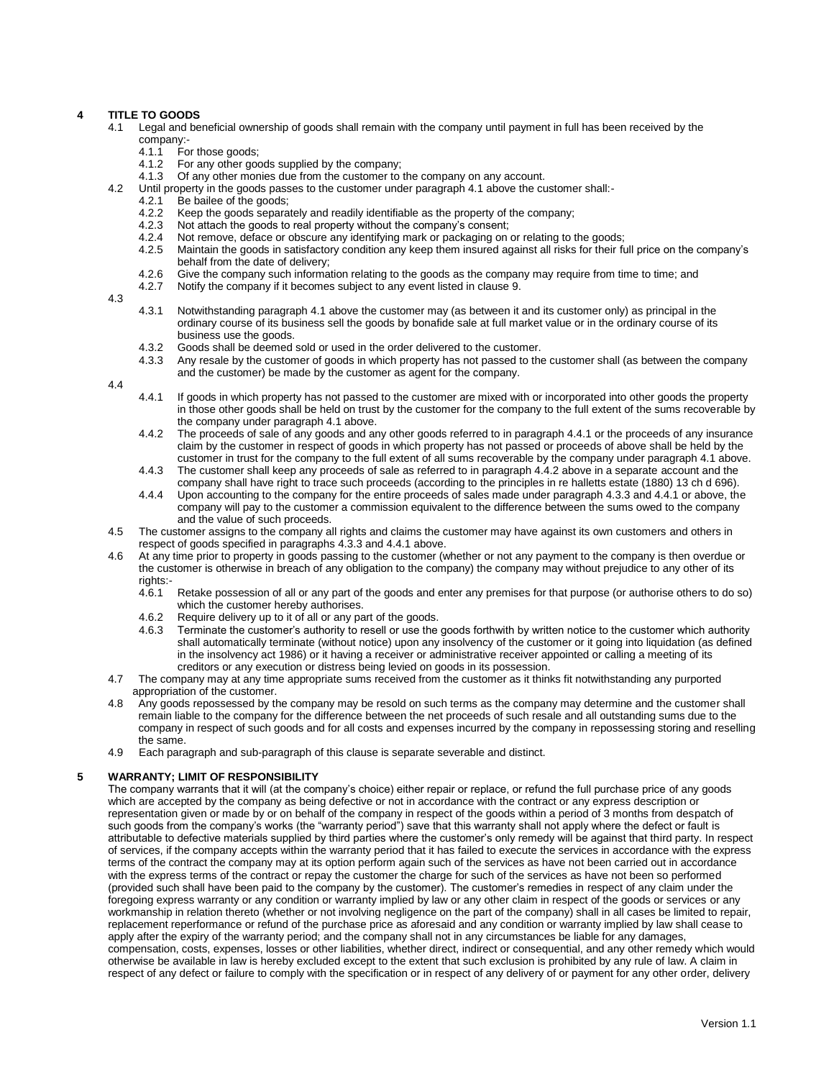# **4 TITLE TO GOODS**

- 4.1 Legal and beneficial ownership of goods shall remain with the company until payment in full has been received by the
	- company:<br>4.1.1 Fo 4.1.1 For those goods;<br>4.1.2 For any other good
	- For any other goods supplied by the company;
	- 4.1.3 Of any other monies due from the customer to the company on any account.
- 4.2 Until property in the goods passes to the customer under paragraph 4.1 above the customer shall:-<br>4.2.1 Be bailee of the goods;
	- 4.2.1 Be bailee of the goods;<br>4.2.2 Keep the goods separa
	- Keep the goods separately and readily identifiable as the property of the company:
	- 4.2.3 Not attach the goods to real property without the company's consent;<br>4.2.4 Not remove, deface or obscure any identifying mark or packaging on
	- 4.2.4 Not remove, deface or obscure any identifying mark or packaging on or relating to the goods;<br>4.2.5 Maintain the goods in satisfactory condition any keep them insured against all risks for their fu
	- Maintain the goods in satisfactory condition any keep them insured against all risks for their full price on the company's behalf from the date of delivery;
	- 4.2.6 Give the company such information relating to the goods as the company may require from time to time; and<br>4.2.7 Notify the company if it becomes subject to any event listed in clause 9.
	- Notify the company if it becomes subject to any event listed in clause 9.
- 4.3
- 4.3.1 Notwithstanding paragraph 4.1 above the customer may (as between it and its customer only) as principal in the ordinary course of its business sell the goods by bonafide sale at full market value or in the ordinary course of its business use the goods.
- 4.3.2 Goods shall be deemed sold or used in the order delivered to the customer.<br>4.3.3 Any resale by the customer of goods in which property has not passed to the
- Any resale by the customer of goods in which property has not passed to the customer shall (as between the company and the customer) be made by the customer as agent for the company.
- 4.4
- 4.4.1 If goods in which property has not passed to the customer are mixed with or incorporated into other goods the property in those other goods shall be held on trust by the customer for the company to the full extent of the sums recoverable by the company under paragraph 4.1 above.
- 4.4.2 The proceeds of sale of any goods and any other goods referred to in paragraph 4.4.1 or the proceeds of any insurance claim by the customer in respect of goods in which property has not passed or proceeds of above shall be held by the customer in trust for the company to the full extent of all sums recoverable by the company under paragraph 4.1 above.
- 4.4.3 The customer shall keep any proceeds of sale as referred to in paragraph 4.4.2 above in a separate account and the company shall have right to trace such proceeds (according to the principles in re halletts estate (1880) 13 ch d 696).
- 4.4.4 Upon accounting to the company for the entire proceeds of sales made under paragraph 4.3.3 and 4.4.1 or above, the company will pay to the customer a commission equivalent to the difference between the sums owed to the company and the value of such proceeds.
- 4.5 The customer assigns to the company all rights and claims the customer may have against its own customers and others in respect of goods specified in paragraphs 4.3.3 and 4.4.1 above.
- 4.6 At any time prior to property in goods passing to the customer (whether or not any payment to the company is then overdue or the customer is otherwise in breach of any obligation to the company) the company may without prejudice to any other of its
	- rights:- Retake possession of all or any part of the goods and enter any premises for that purpose (or authorise others to do so) which the customer hereby authorises.
	-
	- 4.6.2 Require delivery up to it of all or any part of the goods.<br>4.6.3 Terminate the customer's authority to resell or use the Terminate the customer's authority to resell or use the goods forthwith by written notice to the customer which authority shall automatically terminate (without notice) upon any insolvency of the customer or it going into liquidation (as defined in the insolvency act 1986) or it having a receiver or administrative receiver appointed or calling a meeting of its creditors or any execution or distress being levied on goods in its possession.
- 4.7 The company may at any time appropriate sums received from the customer as it thinks fit notwithstanding any purported appropriation of the customer.
- 4.8 Any goods repossessed by the company may be resold on such terms as the company may determine and the customer shall remain liable to the company for the difference between the net proceeds of such resale and all outstanding sums due to the company in respect of such goods and for all costs and expenses incurred by the company in repossessing storing and reselling the same.
- 4.9 Each paragraph and sub-paragraph of this clause is separate severable and distinct.

# **5 WARRANTY; LIMIT OF RESPONSIBILITY**

The company warrants that it will (at the company's choice) either repair or replace, or refund the full purchase price of any goods which are accepted by the company as being defective or not in accordance with the contract or any express description or representation given or made by or on behalf of the company in respect of the goods within a period of 3 months from despatch of such goods from the company's works (the "warranty period") save that this warranty shall not apply where the defect or fault is attributable to defective materials supplied by third parties where the customer's only remedy will be against that third party. In respect of services, if the company accepts within the warranty period that it has failed to execute the services in accordance with the express terms of the contract the company may at its option perform again such of the services as have not been carried out in accordance with the express terms of the contract or repay the customer the charge for such of the services as have not been so performed (provided such shall have been paid to the company by the customer). The customer's remedies in respect of any claim under the foregoing express warranty or any condition or warranty implied by law or any other claim in respect of the goods or services or any workmanship in relation thereto (whether or not involving negligence on the part of the company) shall in all cases be limited to repair, replacement reperformance or refund of the purchase price as aforesaid and any condition or warranty implied by law shall cease to apply after the expiry of the warranty period; and the company shall not in any circumstances be liable for any damages, compensation, costs, expenses, losses or other liabilities, whether direct, indirect or consequential, and any other remedy which would otherwise be available in law is hereby excluded except to the extent that such exclusion is prohibited by any rule of law. A claim in respect of any defect or failure to comply with the specification or in respect of any delivery of or payment for any other order, delivery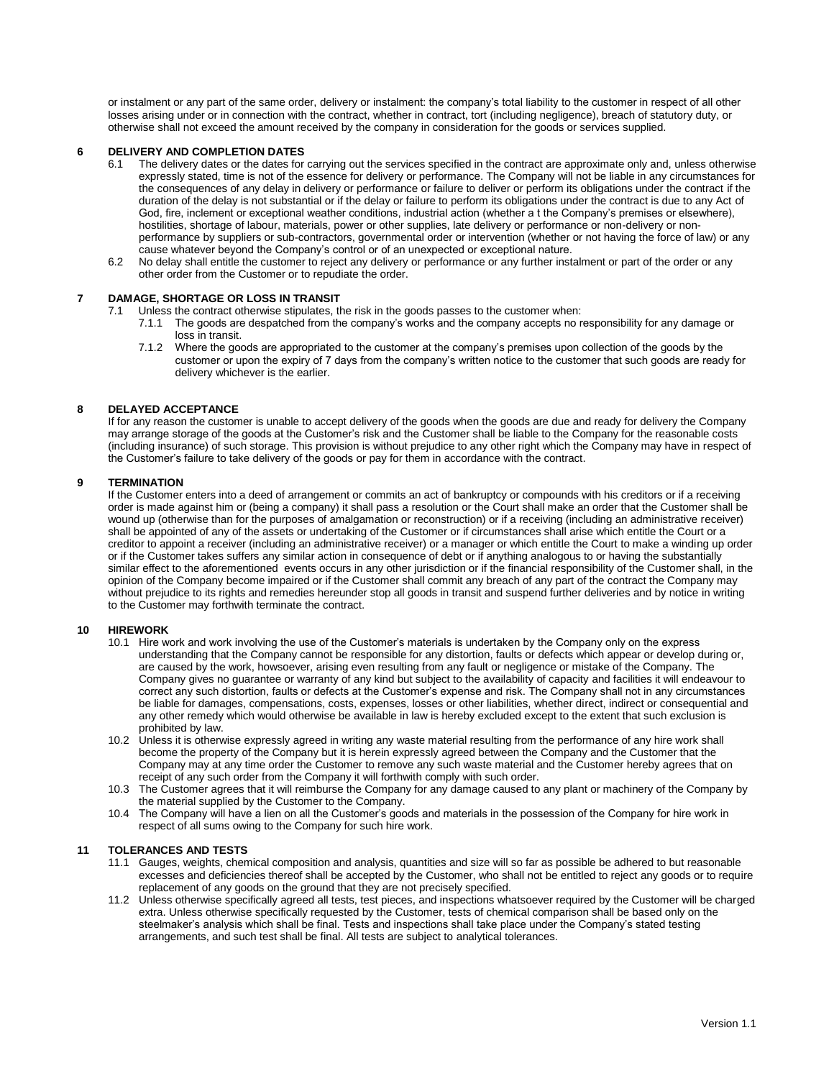or instalment or any part of the same order, delivery or instalment: the company's total liability to the customer in respect of all other losses arising under or in connection with the contract, whether in contract, tort (including negligence), breach of statutory duty, or otherwise shall not exceed the amount received by the company in consideration for the goods or services supplied.

# **6 DELIVERY AND COMPLETION DATES**

- 6.1 The delivery dates or the dates for carrying out the services specified in the contract are approximate only and, unless otherwise expressly stated, time is not of the essence for delivery or performance. The Company will not be liable in any circumstances for the consequences of any delay in delivery or performance or failure to deliver or perform its obligations under the contract if the duration of the delay is not substantial or if the delay or failure to perform its obligations under the contract is due to any Act of God, fire, inclement or exceptional weather conditions, industrial action (whether a t the Company's premises or elsewhere), hostilities, shortage of labour, materials, power or other supplies, late delivery or performance or non-delivery or nonperformance by suppliers or sub-contractors, governmental order or intervention (whether or not having the force of law) or any cause whatever beyond the Company's control or of an unexpected or exceptional nature.
- 6.2 No delay shall entitle the customer to reject any delivery or performance or any further instalment or part of the order or any other order from the Customer or to repudiate the order.

#### **7 DAMAGE, SHORTAGE OR LOSS IN TRANSIT**

- 7.1 Unless the contract otherwise stipulates, the risk in the goods passes to the customer when:<br>7.1.1 The goods are despatched from the company's works and the company accepts no r
	- The goods are despatched from the company's works and the company accepts no responsibility for any damage or loss in transit.
		- 7.1.2 Where the goods are appropriated to the customer at the company's premises upon collection of the goods by the customer or upon the expiry of 7 days from the company's written notice to the customer that such goods are ready for delivery whichever is the earlier.

#### **8 DELAYED ACCEPTANCE**

If for any reason the customer is unable to accept delivery of the goods when the goods are due and ready for delivery the Company may arrange storage of the goods at the Customer's risk and the Customer shall be liable to the Company for the reasonable costs (including insurance) of such storage. This provision is without prejudice to any other right which the Company may have in respect of the Customer's failure to take delivery of the goods or pay for them in accordance with the contract.

#### **9 TERMINATION**

If the Customer enters into a deed of arrangement or commits an act of bankruptcy or compounds with his creditors or if a receiving order is made against him or (being a company) it shall pass a resolution or the Court shall make an order that the Customer shall be wound up (otherwise than for the purposes of amalgamation or reconstruction) or if a receiving (including an administrative receiver) shall be appointed of any of the assets or undertaking of the Customer or if circumstances shall arise which entitle the Court or a creditor to appoint a receiver (including an administrative receiver) or a manager or which entitle the Court to make a winding up order or if the Customer takes suffers any similar action in consequence of debt or if anything analogous to or having the substantially similar effect to the aforementioned events occurs in any other jurisdiction or if the financial responsibility of the Customer shall, in the opinion of the Company become impaired or if the Customer shall commit any breach of any part of the contract the Company may without prejudice to its rights and remedies hereunder stop all goods in transit and suspend further deliveries and by notice in writing to the Customer may forthwith terminate the contract.

#### **10 HIREWORK**

- 10.1 Hire work and work involving the use of the Customer's materials is undertaken by the Company only on the express understanding that the Company cannot be responsible for any distortion, faults or defects which appear or develop during or, are caused by the work, howsoever, arising even resulting from any fault or negligence or mistake of the Company. The Company gives no guarantee or warranty of any kind but subject to the availability of capacity and facilities it will endeavour to correct any such distortion, faults or defects at the Customer's expense and risk. The Company shall not in any circumstances be liable for damages, compensations, costs, expenses, losses or other liabilities, whether direct, indirect or consequential and any other remedy which would otherwise be available in law is hereby excluded except to the extent that such exclusion is prohibited by law.
- 10.2 Unless it is otherwise expressly agreed in writing any waste material resulting from the performance of any hire work shall become the property of the Company but it is herein expressly agreed between the Company and the Customer that the Company may at any time order the Customer to remove any such waste material and the Customer hereby agrees that on receipt of any such order from the Company it will forthwith comply with such order.
- 10.3 The Customer agrees that it will reimburse the Company for any damage caused to any plant or machinery of the Company by the material supplied by the Customer to the Company.
- 10.4 The Company will have a lien on all the Customer's goods and materials in the possession of the Company for hire work in respect of all sums owing to the Company for such hire work.

#### **11 TOLERANCES AND TESTS**

- 11.1 Gauges, weights, chemical composition and analysis, quantities and size will so far as possible be adhered to but reasonable excesses and deficiencies thereof shall be accepted by the Customer, who shall not be entitled to reject any goods or to require replacement of any goods on the ground that they are not precisely specified.
- 11.2 Unless otherwise specifically agreed all tests, test pieces, and inspections whatsoever required by the Customer will be charged extra. Unless otherwise specifically requested by the Customer, tests of chemical comparison shall be based only on the steelmaker's analysis which shall be final. Tests and inspections shall take place under the Company's stated testing arrangements, and such test shall be final. All tests are subject to analytical tolerances.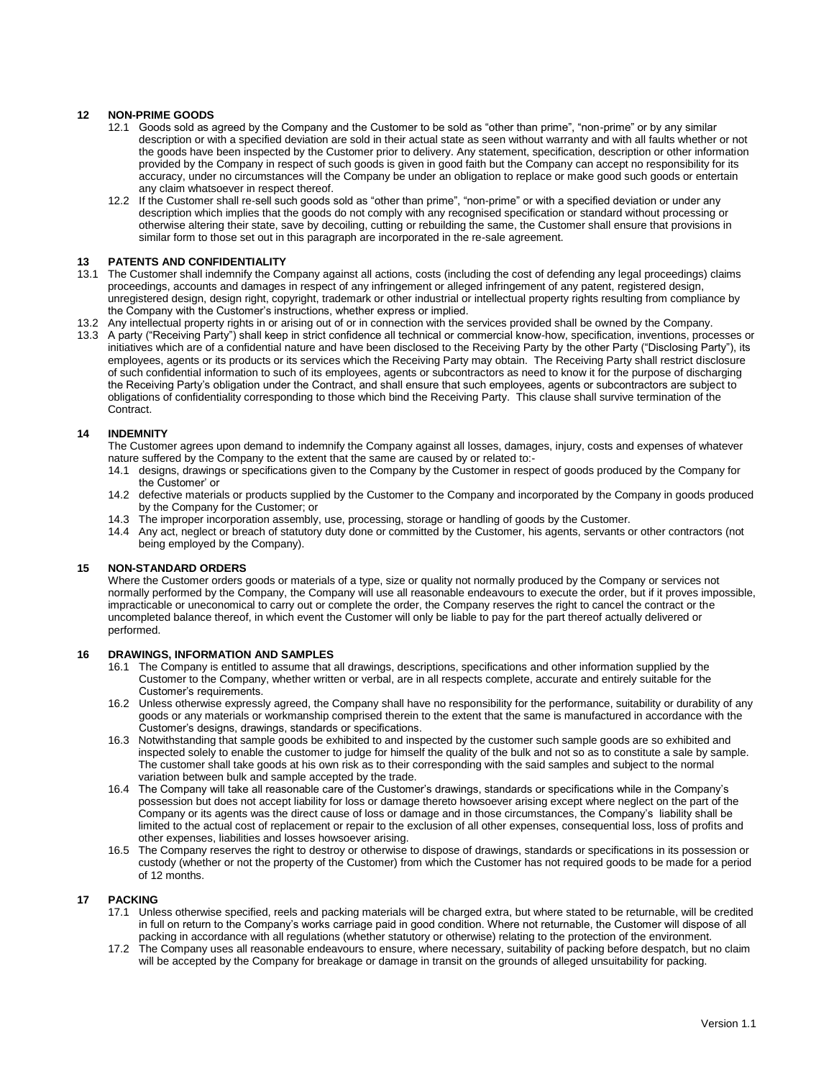# **12 NON-PRIME GOODS**

- 12.1 Goods sold as agreed by the Company and the Customer to be sold as "other than prime", "non-prime" or by any similar description or with a specified deviation are sold in their actual state as seen without warranty and with all faults whether or not the goods have been inspected by the Customer prior to delivery. Any statement, specification, description or other information provided by the Company in respect of such goods is given in good faith but the Company can accept no responsibility for its accuracy, under no circumstances will the Company be under an obligation to replace or make good such goods or entertain any claim whatsoever in respect thereof.
- 12.2 If the Customer shall re-sell such goods sold as "other than prime", "non-prime" or with a specified deviation or under any description which implies that the goods do not comply with any recognised specification or standard without processing or otherwise altering their state, save by decoiling, cutting or rebuilding the same, the Customer shall ensure that provisions in similar form to those set out in this paragraph are incorporated in the re-sale agreement.

#### **13 PATENTS AND CONFIDENTIALITY**

- 13.1 The Customer shall indemnify the Company against all actions, costs (including the cost of defending any legal proceedings) claims proceedings, accounts and damages in respect of any infringement or alleged infringement of any patent, registered design, unregistered design, design right, copyright, trademark or other industrial or intellectual property rights resulting from compliance by the Company with the Customer's instructions, whether express or implied.
- 13.2 Any intellectual property rights in or arising out of or in connection with the services provided shall be owned by the Company.
- 13.3 A party ("Receiving Party") shall keep in strict confidence all technical or commercial know-how, specification, inventions, processes or initiatives which are of a confidential nature and have been disclosed to the Receiving Party by the other Party ("Disclosing Party"), its employees, agents or its products or its services which the Receiving Party may obtain. The Receiving Party shall restrict disclosure of such confidential information to such of its employees, agents or subcontractors as need to know it for the purpose of discharging the Receiving Party's obligation under the Contract, and shall ensure that such employees, agents or subcontractors are subject to obligations of confidentiality corresponding to those which bind the Receiving Party. This clause shall survive termination of the Contract.

#### **14 INDEMNITY**

The Customer agrees upon demand to indemnify the Company against all losses, damages, injury, costs and expenses of whatever nature suffered by the Company to the extent that the same are caused by or related to:-

- 14.1 designs, drawings or specifications given to the Company by the Customer in respect of goods produced by the Company for the Customer' or
- 14.2 defective materials or products supplied by the Customer to the Company and incorporated by the Company in goods produced by the Company for the Customer; or
- 14.3 The improper incorporation assembly, use, processing, storage or handling of goods by the Customer.
- 14.4 Any act, neglect or breach of statutory duty done or committed by the Customer, his agents, servants or other contractors (not being employed by the Company).

# **15 NON-STANDARD ORDERS**

Where the Customer orders goods or materials of a type, size or quality not normally produced by the Company or services not normally performed by the Company, the Company will use all reasonable endeavours to execute the order, but if it proves impossible, impracticable or uneconomical to carry out or complete the order, the Company reserves the right to cancel the contract or the uncompleted balance thereof, in which event the Customer will only be liable to pay for the part thereof actually delivered or performed.

### **16 DRAWINGS, INFORMATION AND SAMPLES**

- 16.1 The Company is entitled to assume that all drawings, descriptions, specifications and other information supplied by the Customer to the Company, whether written or verbal, are in all respects complete, accurate and entirely suitable for the Customer's requirements.
- 16.2 Unless otherwise expressly agreed, the Company shall have no responsibility for the performance, suitability or durability of any goods or any materials or workmanship comprised therein to the extent that the same is manufactured in accordance with the Customer's designs, drawings, standards or specifications.
- 16.3 Notwithstanding that sample goods be exhibited to and inspected by the customer such sample goods are so exhibited and inspected solely to enable the customer to judge for himself the quality of the bulk and not so as to constitute a sale by sample. The customer shall take goods at his own risk as to their corresponding with the said samples and subject to the normal variation between bulk and sample accepted by the trade.
- 16.4 The Company will take all reasonable care of the Customer's drawings, standards or specifications while in the Company's possession but does not accept liability for loss or damage thereto howsoever arising except where neglect on the part of the Company or its agents was the direct cause of loss or damage and in those circumstances, the Company's liability shall be limited to the actual cost of replacement or repair to the exclusion of all other expenses, consequential loss, loss of profits and other expenses, liabilities and losses howsoever arising.
- 16.5 The Company reserves the right to destroy or otherwise to dispose of drawings, standards or specifications in its possession or custody (whether or not the property of the Customer) from which the Customer has not required goods to be made for a period of 12 months.

# **17 PACKING**

- 17.1 Unless otherwise specified, reels and packing materials will be charged extra, but where stated to be returnable, will be credited in full on return to the Company's works carriage paid in good condition. Where not returnable, the Customer will dispose of all packing in accordance with all regulations (whether statutory or otherwise) relating to the protection of the environment.
- 17.2 The Company uses all reasonable endeavours to ensure, where necessary, suitability of packing before despatch, but no claim will be accepted by the Company for breakage or damage in transit on the grounds of alleged unsuitability for packing.